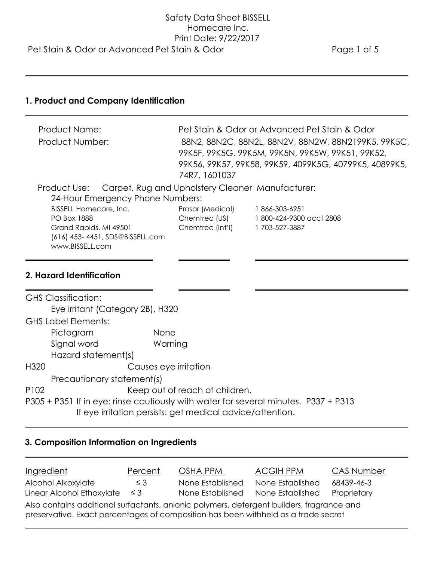## **1. Product and Company Identification**

| <b>Product Name:</b>                                          |                                                        | Pet Stain & Odor or Advanced Pet Stain & Odor |  |
|---------------------------------------------------------------|--------------------------------------------------------|-----------------------------------------------|--|
| Product Number:                                               | 88N2, 88N2C, 88N2L, 88N2V, 88N2W, 88N2199K5, 99K5C,    |                                               |  |
|                                                               | 99K5F, 99K5G, 99K5M, 99K5N, 99K5W, 99K51, 99K52,       |                                               |  |
|                                                               | 99K56, 99K57, 99K58, 99K59, 4099K5G, 40799K5, 40899K5, |                                               |  |
|                                                               | 74R7, 1601037                                          |                                               |  |
| Product Use: Carpet, Rug and Upholstery Cleaner Manufacturer: |                                                        |                                               |  |
| 24-Hour Emergency Phone Numbers:                              |                                                        |                                               |  |
| <b>BISSELL Homecare, Inc.</b>                                 | Prosar (Medical)                                       | 1866-303-6951                                 |  |
| <b>PO Box 1888</b>                                            | Chemtrec (US)                                          | 1800-424-9300 acct 2808                       |  |
| Grand Rapids, MI 49501                                        | Chemtrec (Int'l)                                       | 1703-527-3887                                 |  |
| (616) 453-4451, SDS@BISSELL.com                               |                                                        |                                               |  |
| www.BISSELL.com                                               |                                                        |                                               |  |
|                                                               |                                                        |                                               |  |

## **2. Hazard Identification**

|                  | <b>GHS Classification:</b>       |                                                                                     |
|------------------|----------------------------------|-------------------------------------------------------------------------------------|
|                  | Eye irritant (Category 2B), H320 |                                                                                     |
|                  | <b>GHS Label Elements:</b>       |                                                                                     |
|                  | Pictogram                        | None                                                                                |
|                  | Signal word                      | Warning                                                                             |
|                  | Hazard statement(s)              |                                                                                     |
| H <sub>320</sub> |                                  | Causes eye irritation                                                               |
|                  | Precautionary statement(s)       |                                                                                     |
| P <sub>102</sub> |                                  | Keep out of reach of children.                                                      |
|                  |                                  | P305 + P351 If in eye: rinse cautiously with water for several minutes. P337 + P313 |
|                  |                                  | If eye irritation persists: get medical advice/attention.                           |

# **3. Composition Information on Ingredients**

| Ingredient                                                                                                                                                                      | Percent  | OSHA PPM         | <b>ACGIH PPM</b> | <b>CAS Number</b> |
|---------------------------------------------------------------------------------------------------------------------------------------------------------------------------------|----------|------------------|------------------|-------------------|
| Alcohol Alkoxylate                                                                                                                                                              | $\leq$ 3 | None Established | None Established | 68439-46-3        |
| Linear Alcohol Ethoxylate $\leq$ 3                                                                                                                                              |          | None Established | None Established | Proprietary       |
| Also contains additional surfactants, anionic polymers, detergent builders, fragrance and<br>preservative. Exact percentages of composition has been withheld as a trade secret |          |                  |                  |                   |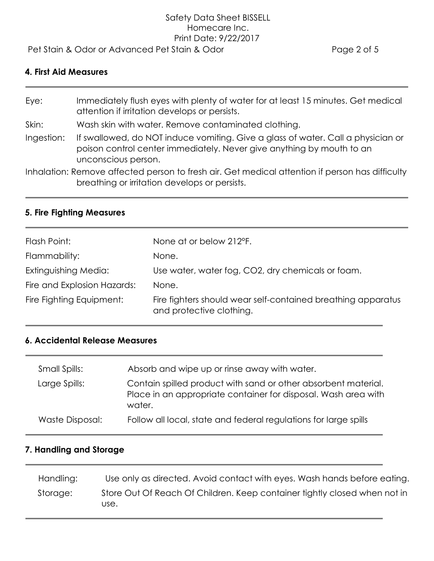# Safety Data Sheet BISSELL Homecare Inc. Print Date: 9/22/2017

Pet Stain & Odor or Advanced Pet Stain & Odor extending the Page 2 of 5

#### **4. First Aid Measures**

Eye: Immediately flush eyes with plenty of water for at least 15 minutes. Get medical attention if irritation develops or persists. Skin: Wash skin with water. Remove contaminated clothing. Ingestion: If swallowed, do NOT induce vomiting. Give a glass of water. Call a physician or poison control center immediately. Never give anything by mouth to an unconscious person.

Inhalation: Remove affected person to fresh air. Get medical attention if person has difficulty breathing or irritation develops or persists.

#### **5. Fire Fighting Measures**

| Flash Point:                | None at or below 212°F.                                                                  |
|-----------------------------|------------------------------------------------------------------------------------------|
| Flammability:               | None.                                                                                    |
| Extinguishing Media:        | Use water, water fog, CO2, dry chemicals or foam.                                        |
| Fire and Explosion Hazards: | None.                                                                                    |
| Fire Fighting Equipment:    | Fire fighters should wear self-contained breathing apparatus<br>and protective clothing. |

#### **6. Accidental Release Measures**

| Small Spills:   | Absorb and wipe up or rinse away with water.                                                                                               |
|-----------------|--------------------------------------------------------------------------------------------------------------------------------------------|
| Large Spills:   | Contain spilled product with sand or other absorbent material.<br>Place in an appropriate container for disposal. Wash area with<br>water. |
| Waste Disposal: | Follow all local, state and federal regulations for large spills                                                                           |

#### **7. Handling and Storage**

| Handling: | Use only as directed. Avoid contact with eyes. Wash hands before eating.          |
|-----------|-----------------------------------------------------------------------------------|
| Storage:  | Store Out Of Reach Of Children. Keep container fightly closed when not in<br>use. |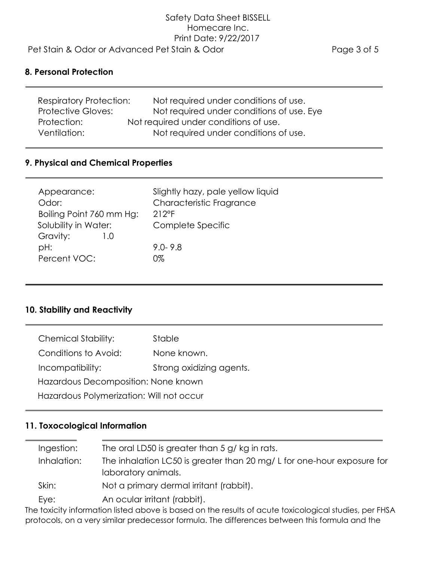#### **8. Personal Protection**

| <b>Respiratory Protection:</b> | Not required under conditions of use.     |
|--------------------------------|-------------------------------------------|
| <b>Protective Gloves:</b>      | Not required under conditions of use. Eye |
| Protection:                    | Not required under conditions of use.     |
| Ventilation:                   | Not required under conditions of use.     |

#### **9. Physical and Chemical Properties**

| Appearance:<br>Odor:<br>Boiling Point 760 mm Hg:<br>Solubility in Water:<br>Gravity:<br>L.U<br>pH: | Slightly hazy, pale yellow liquid<br>Characteristic Fragrance<br>$212$ °F<br>Complete Specific<br>$9.0 - 9.8$ |
|----------------------------------------------------------------------------------------------------|---------------------------------------------------------------------------------------------------------------|
| Percent VOC:                                                                                       | 0%                                                                                                            |
|                                                                                                    |                                                                                                               |

#### **10. Stability and Reactivity**

| <b>Chemical Stability:</b>               | Stable                   |  |  |
|------------------------------------------|--------------------------|--|--|
| Conditions to Avoid:                     | None known.              |  |  |
| Incompatibility:                         | Strong oxidizing agents. |  |  |
| Hazardous Decomposition: None known      |                          |  |  |
| Hazardous Polymerization: Will not occur |                          |  |  |

### **11. Toxocological Information**

| Ingestion:  | The oral LD50 is greater than 5 g/ kg in rats.                                               |
|-------------|----------------------------------------------------------------------------------------------|
| Inhalation: | The inhalation LC50 is greater than 20 mg/L for one-hour exposure for<br>laboratory animals. |
| Skin:       | Not a primary dermal irritant (rabbit).                                                      |
| Eye:        | An ocular irritant (rabbit).                                                                 |

The toxicity information listed above is based on the results of acute toxicological studies, per FHSA protocols, on a very similar predecessor formula. The differences between this formula and the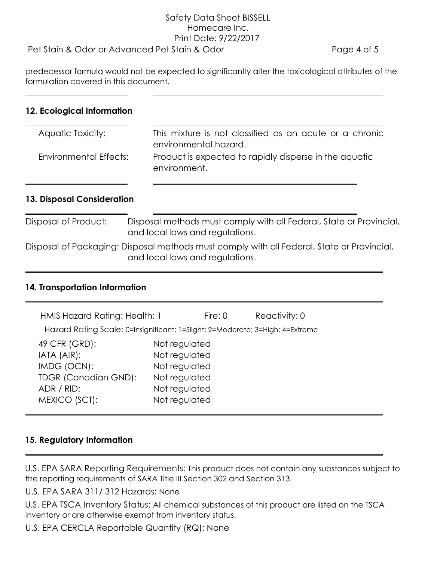# Safety Data Sheet BISSELL Homecare Inc. Print Date: 9/22/2017

### Pet Stain & Odor or Advanced Pet Stain & Odor example that the Page 4 of 5

predecessor formula would not be expected to significantly alter the toxicological attributes of the formulation covered in this document.

#### **12. Ecological Information**

| Aquatic Toxicity:      | This mixture is not classified as an acute or a chronic<br>environmental hazard. |
|------------------------|----------------------------------------------------------------------------------|
| Environmental Effects: | Product is expected to rapidly disperse in the aquatic<br>environment.           |

#### **13. Disposal Consideration**

Disposal of Product: Disposal methods must comply with all Federal, State or Provincial, and local laws and regulations.

Disposal of Packaging: Disposal methods must comply with all Federal, State or Provincial, and local laws and regulations.

#### **14. Transportation Information**

| HMIS Hazard Rating: Health: 1                                                                             |                                                                                                    | Fire: $0$ | Reactivity: 0 |
|-----------------------------------------------------------------------------------------------------------|----------------------------------------------------------------------------------------------------|-----------|---------------|
| Hazard Rating Scale: 0=Insignificant; 1=Slight; 2=Moderate; 3=High; 4=Extreme                             |                                                                                                    |           |               |
| 49 CFR (GRD):<br>IATA (AIR):<br>IMDG (OCN):<br><b>TDGR (Canadian GND):</b><br>ADR / RID:<br>MEXICO (SCT): | Not regulated<br>Not regulated<br>Not regulated<br>Not regulated<br>Not regulated<br>Not regulated |           |               |

### **15. Regulatory Information**

U.S. EPA SARA Reporting Requirements: This product does not contain any substances subject to the reporting requirements of SARA Title III Section 302 and Section 313.

U.S. EPA SARA 311/ 312 Hazards: None

U.S. EPA TSCA Inventory Status: All chemical substances of this product are listed on the TSCA inventory or are otherwise exempt from inventory status.

U.S. EPA CERCLA Reportable Quantity (RQ): None